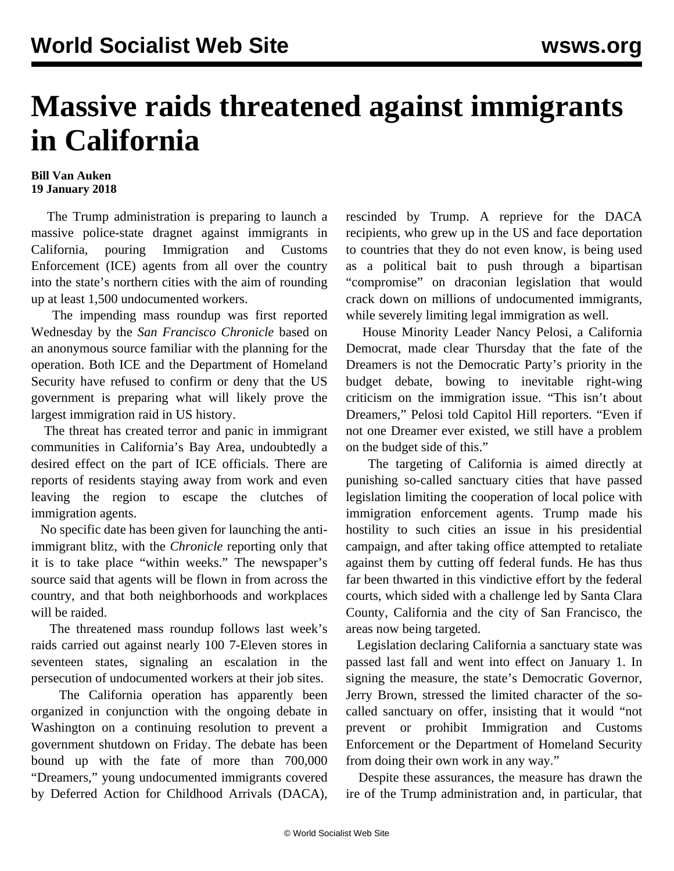## **Massive raids threatened against immigrants in California**

## **Bill Van Auken 19 January 2018**

 The Trump administration is preparing to launch a massive police-state dragnet against immigrants in California, pouring Immigration and Customs Enforcement (ICE) agents from all over the country into the state's northern cities with the aim of rounding up at least 1,500 undocumented workers.

 The impending mass roundup was first reported Wednesday by the *San Francisco Chronicle* based on an anonymous source familiar with the planning for the operation. Both ICE and the Department of Homeland Security have refused to confirm or deny that the US government is preparing what will likely prove the largest immigration raid in US history.

 The threat has created terror and panic in immigrant communities in California's Bay Area, undoubtedly a desired effect on the part of ICE officials. There are reports of residents staying away from work and even leaving the region to escape the clutches of immigration agents.

 No specific date has been given for launching the antiimmigrant blitz, with the *Chronicle* reporting only that it is to take place "within weeks." The newspaper's source said that agents will be flown in from across the country, and that both neighborhoods and workplaces will be raided.

 The threatened mass roundup follows last week's raids carried out against nearly 100 7-Eleven stores in seventeen states, signaling an escalation in the persecution of undocumented workers at their job sites.

 The California operation has apparently been organized in conjunction with the ongoing debate in Washington on a continuing resolution to prevent a government shutdown on Friday. The debate has been bound up with the fate of more than 700,000 "Dreamers," young undocumented immigrants covered by Deferred Action for Childhood Arrivals (DACA),

rescinded by Trump. A reprieve for the DACA recipients, who grew up in the US and face deportation to countries that they do not even know, is being used as a political bait to push through a bipartisan "compromise" on draconian legislation that would crack down on millions of undocumented immigrants, while severely limiting legal immigration as well.

 House Minority Leader Nancy Pelosi, a California Democrat, made clear Thursday that the fate of the Dreamers is not the Democratic Party's priority in the budget debate, bowing to inevitable right-wing criticism on the immigration issue. "This isn't about Dreamers," Pelosi told Capitol Hill reporters. "Even if not one Dreamer ever existed, we still have a problem on the budget side of this."

 The targeting of California is aimed directly at punishing so-called sanctuary cities that have passed legislation limiting the cooperation of local police with immigration enforcement agents. Trump made his hostility to such cities an issue in his presidential campaign, and after taking office attempted to retaliate against them by cutting off federal funds. He has thus far been thwarted in this vindictive effort by the federal courts, which sided with a challenge led by Santa Clara County, California and the city of San Francisco, the areas now being targeted.

 Legislation declaring California a sanctuary state was passed last fall and went into effect on January 1. In signing the measure, the state's Democratic Governor, Jerry Brown, stressed the limited character of the socalled sanctuary on offer, insisting that it would "not prevent or prohibit Immigration and Customs Enforcement or the Department of Homeland Security from doing their own work in any way."

 Despite these assurances, the measure has drawn the ire of the Trump administration and, in particular, that